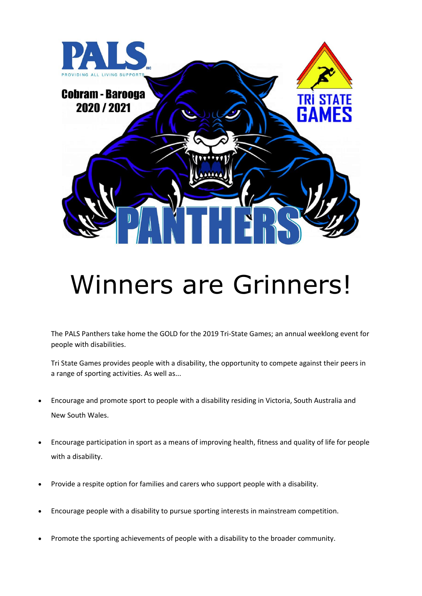

## Winners are Grinners!

The PALS Panthers take home the GOLD for the 2019 Tri-State Games; an annual weeklong event for people with disabilities.

Tri State Games provides people with a disability, the opportunity to compete against their peers in a range of sporting activities. As well as...

- Encourage and promote sport to people with a disability residing in Victoria, South Australia and New South Wales.
- Encourage participation in sport as a means of improving health, fitness and quality of life for people with a disability.
- Provide a respite option for families and carers who support people with a disability.
- Encourage people with a disability to pursue sporting interests in mainstream competition.
- Promote the sporting achievements of people with a disability to the broader community.